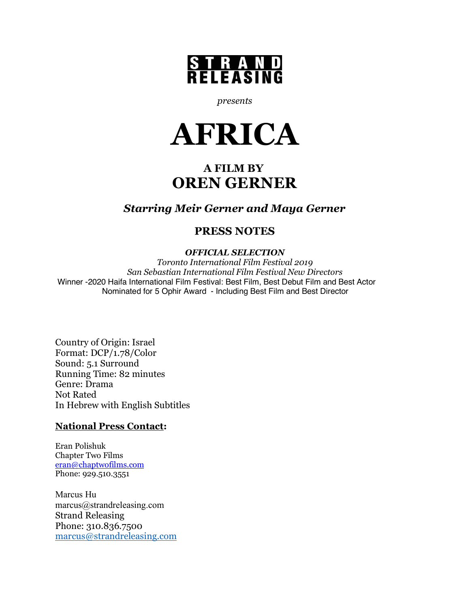

*presents*



# **A FILM BY OREN GERNER**

### *Starring Meir Gerner and Maya Gerner*

## **PRESS NOTES**

### *OFFICIAL SELECTION*

*Toronto International Film Festival 2019 San Sebastian International Film Festival New Directors* Winner -2020 Haifa International Film Festival: Best Film, Best Debut Film and Best Actor Nominated for 5 Ophir Award - Including Best Film and Best Director

Country of Origin: Israel Format: DCP/1.78/Color Sound: 5.1 Surround Running Time: 82 minutes Genre: Drama Not Rated In Hebrew with English Subtitles

### **National Press Contact:**

Eran Polishuk Chapter Two Films eran@chaptwofilms.com Phone: 929.510.3551

Marcus Hu marcus@strandreleasing.com Strand Releasing Phone: 310.836.7500 marcus@strandreleasing.com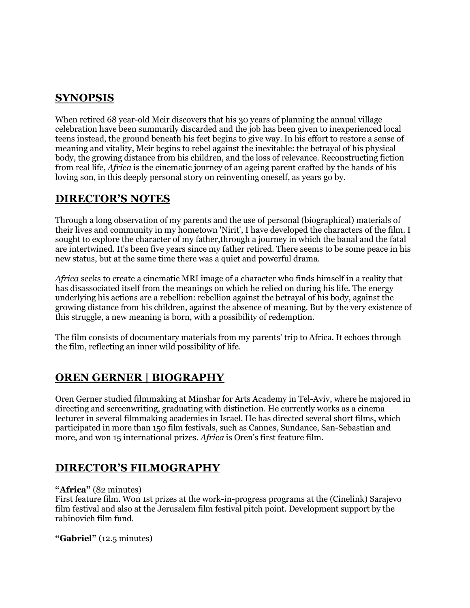## **SYNOPSIS**

When retired 68 year-old Meir discovers that his 30 years of planning the annual village celebration have been summarily discarded and the job has been given to inexperienced local teens instead, the ground beneath his feet begins to give way. In his effort to restore a sense of meaning and vitality, Meir begins to rebel against the inevitable: the betrayal of his physical body, the growing distance from his children, and the loss of relevance. Reconstructing fiction from real life, *Africa* is the cinematic journey of an ageing parent crafted by the hands of his loving son, in this deeply personal story on reinventing oneself, as years go by.

### **DIRECTOR'S NOTES**

Through a long observation of my parents and the use of personal (biographical) materials of their lives and community in my hometown 'Nirit', I have developed the characters of the film. I sought to explore the character of my father,through a journey in which the banal and the fatal are intertwined. It's been five years since my father retired. There seems to be some peace in his new status, but at the same time there was a quiet and powerful drama.

*Africa* seeks to create a cinematic MRI image of a character who finds himself in a reality that has disassociated itself from the meanings on which he relied on during his life. The energy underlying his actions are a rebellion: rebellion against the betrayal of his body, against the growing distance from his children, against the absence of meaning. But by the very existence of this struggle, a new meaning is born, with a possibility of redemption.

The film consists of documentary materials from my parents' trip to Africa. It echoes through the film, reflecting an inner wild possibility of life.

## **OREN GERNER | BIOGRAPHY**

Oren Gerner studied filmmaking at Minshar for Arts Academy in Tel-Aviv, where he majored in directing and screenwriting, graduating with distinction. He currently works as a cinema lecturer in several filmmaking academies in Israel. He has directed several short films, which participated in more than 150 film festivals, such as Cannes, Sundance, San-Sebastian and more, and won 15 international prizes. *Africa* is Oren's first feature film.

## **DIRECTOR'S FILMOGRAPHY**

#### **"Africa"** (82 minutes)

First feature film. Won 1st prizes at the work-in-progress programs at the (Cinelink) Sarajevo film festival and also at the Jerusalem film festival pitch point. Development support by the rabinovich film fund.

**"Gabriel"** (12.5 minutes)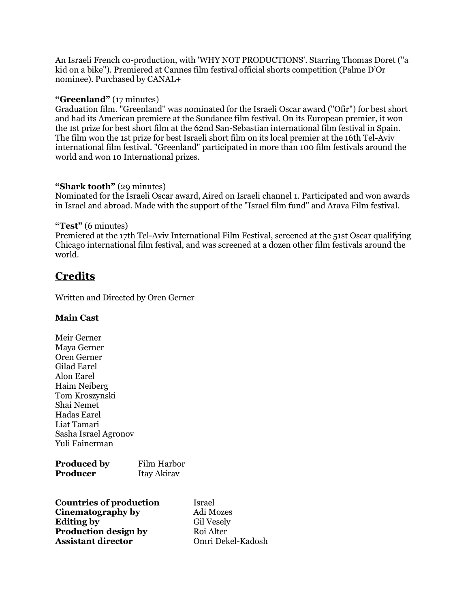An Israeli French co-production, with 'WHY NOT PRODUCTIONS'. Starring Thomas Doret ("a kid on a bike"). Premiered at Cannes film festival official shorts competition (Palme D'Or nominee). Purchased by CANAL+

#### **"Greenland"** (17 minutes)

Graduation film. "Greenland'' was nominated for the Israeli Oscar award ("Ofir") for best short and had its American premiere at the Sundance film festival. On its European premier, it won the 1st prize for best short film at the 62nd San-Sebastian international film festival in Spain. The film won the 1st prize for best Israeli short film on its local premier at the 16th Tel-Aviv international film festival. "Greenland" participated in more than 100 film festivals around the world and won 10 International prizes.

#### **"Shark tooth"** (29 minutes)

Nominated for the Israeli Oscar award, Aired on Israeli channel 1. Participated and won awards in Israel and abroad. Made with the support of the "Israel film fund" and Arava Film festival.

#### **"Test"** (6 minutes)

Premiered at the 17th Tel-Aviv International Film Festival, screened at the 51st Oscar qualifying Chicago international film festival, and was screened at a dozen other film festivals around the world.

### **Credits**

Written and Directed by Oren Gerner

#### **Main Cast**

Meir Gerner Maya Gerner Oren Gerner Gilad Earel Alon Earel Haim Neiberg Tom Kroszynski Shai Nemet Hadas Earel Liat Tamari Sasha Israel Agronov Yuli Fainerman

| <b>Produced by</b> | Film Harbor |
|--------------------|-------------|
| <b>Producer</b>    | Itay Akirav |

| <b>Countries of production</b> | Israel            |
|--------------------------------|-------------------|
| Cinematography by              | Adi Mozes         |
| <b>Editing by</b>              | <b>Gil Vesely</b> |
| <b>Production design by</b>    | Roi Alter         |
| <b>Assistant director</b>      | Omri Dekel-Kadosh |